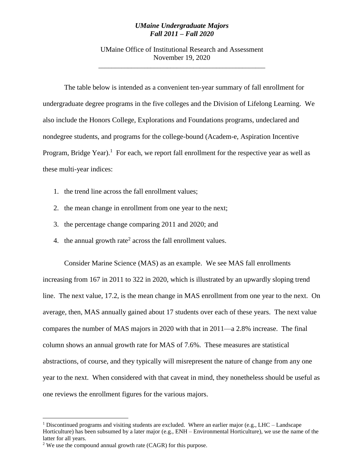## *UMaine Undergraduate Majors Fall 2011 – Fall 2020*

UMaine Office of Institutional Research and Assessment November 19, 2020 \_\_\_\_\_\_\_\_\_\_\_\_\_\_\_\_\_\_\_\_\_\_\_\_\_\_\_\_\_\_\_\_\_\_\_\_\_\_\_\_\_\_\_\_\_\_\_\_\_\_\_

The table below is intended as a convenient ten-year summary of fall enrollment for undergraduate degree programs in the five colleges and the Division of Lifelong Learning. We also include the Honors College, Explorations and Foundations programs, undeclared and nondegree students, and programs for the college-bound (Academ-e, Aspiration Incentive Program, Bridge Year).<sup>1</sup> For each, we report fall enrollment for the respective year as well as these multi-year indices:

- 1. the trend line across the fall enrollment values;
- 2. the mean change in enrollment from one year to the next;
- 3. the percentage change comparing 2011 and 2020; and
- 4. the annual growth rate<sup>2</sup> across the fall enrollment values.

Consider Marine Science (MAS) as an example. We see MAS fall enrollments increasing from 167 in 2011 to 322 in 2020, which is illustrated by an upwardly sloping trend line. The next value, 17.2, is the mean change in MAS enrollment from one year to the next. On average, then, MAS annually gained about 17 students over each of these years. The next value compares the number of MAS majors in 2020 with that in 2011—a 2.8% increase. The final column shows an annual growth rate for MAS of 7.6%. These measures are statistical abstractions, of course, and they typically will misrepresent the nature of change from any one year to the next. When considered with that caveat in mind, they nonetheless should be useful as one reviews the enrollment figures for the various majors.

 $\overline{a}$ 

<sup>&</sup>lt;sup>1</sup> Discontinued programs and visiting students are excluded. Where an earlier major (e.g., LHC – Landscape Horticulture) has been subsumed by a later major (e.g., ENH – Environmental Horticulture), we use the name of the latter for all years.

<sup>2</sup> We use the compound annual growth rate (CAGR) for this purpose.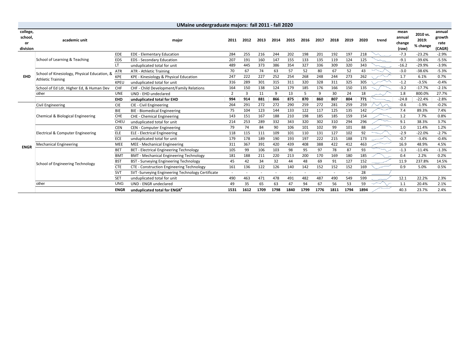| UMaine undergraduate majors: fall 2011 - fall 2020 |                                              |                 |                                                   |      |      |      |      |      |      |      |                          |      |      |       |                          |                               |                          |
|----------------------------------------------------|----------------------------------------------|-----------------|---------------------------------------------------|------|------|------|------|------|------|------|--------------------------|------|------|-------|--------------------------|-------------------------------|--------------------------|
| college,<br>school,<br>or                          | academic unit                                |                 | major                                             | 2011 | 2012 | 2013 | 2014 | 2015 | 2016 | 2017 | 2018                     | 2019 | 2020 | trend | mean<br>annual<br>change | 2010 vs.<br>2019:<br>% change | annual<br>growth<br>rate |
| division                                           |                                              |                 |                                                   |      |      |      |      |      |      |      |                          |      |      |       | (raw)                    |                               | (CAGR)                   |
|                                                    |                                              | EDE             | <b>EDE - Elementary Education</b>                 | 284  | 255  | 216  | 244  | 202  | 198  | 201  | 192                      | 197  | 218  |       | $-7.3$                   | $-23.2%$                      | $-2.9%$                  |
|                                                    | School of Learning & Teaching                | EDS             | <b>EDS</b> - Secondary Education                  | 207  | 191  | 160  | 147  | 155  | 133  | 135  | 119                      | 124  | 125  |       | $-9.1$                   | $-39.6%$                      | $-5.5%$                  |
|                                                    |                                              | LT              | unduplicated total for unit                       | 489  | 445  | 373  | 386  | 354  | 327  | 336  | 309                      | 320  | 343  |       | $-16.2$                  | $-29.9%$                      | $-3.9%$                  |
|                                                    | School of Kinesiology, Physical Education, & | <b>ATR</b>      | <b>ATR - Athletic Training</b>                    | 70   | 67   | 74   | 63   | 57   | 52   | 80   | 67                       | 52   | 43   |       | $-3.0$                   | $-38.6%$                      | $-5.3%$                  |
| <b>EHD</b>                                         | <b>Athletic Training</b>                     | <b>KPE</b>      | KPE - Kinesiology & Physical Education            | 247  | 222  | 227  | 252  | 254  | 268  | 248  | 244                      | 273  | 262  |       | 1.7                      | 6.1%                          | 0.7%                     |
|                                                    |                                              | KPEU            | unduplicated total for unit                       | 316  | 289  | 301  | 315  | 311  | 320  | 328  | 311                      | 325  | 305  |       | $-1.2$                   | $-3.5%$                       | $-0.4%$                  |
|                                                    | School of Ed Ldr, Higher Ed, & Human Dev     | CHF             | CHF - Child Development/Family Relations          | 164  | 150  | 138  | 124  | 179  | 185  | 176  | 166                      | 150  | 135  |       | $-3.2$                   | $-17.7%$                      | $-2.1%$                  |
|                                                    | other                                        | <b>UNE</b>      | UND - EHD undeclared                              |      | 3    | 11   | 9    | 13   | 5    | 9    | 30                       | 24   | 18   |       | 1.8                      | 800.0%                        | 27.7%                    |
|                                                    |                                              | EHD             | unduplicated total for EHD                        | 994  | 914  | 881  | 866  | 875  | 870  | 860  | 807                      | 804  | 771  |       | $-24.8$                  | $-22.4%$                      | $-2.8%$                  |
|                                                    | Civil Engineering                            | <b>CIE</b>      | CIE - Civil Engineering                           | 264  | 291  | 272  | 272  | 290  | 259  | 272  | 281                      | 259  | 259  |       | $-0.6$                   | $-1.9%$                       | $-0.2%$                  |
|                                                    | Chemical & Biological Engineering            | <b>BIE</b>      | <b>BIE</b> - Biomedical Engineering               | 75   | 104  | 123  | 144  | 133  | 122  | 117  | 125                      | 135  | 142  |       | 7.4                      | 89.3%                         | 7.4%                     |
|                                                    |                                              | <b>CHE</b>      | CHE - Chemical Engineering                        | 143  | 151  | 167  | 188  | 210  | 198  | 185  | 185                      | 159  | 154  |       | 1.2                      | 7.7%                          | 0.8%                     |
|                                                    |                                              | CHEU            | unduplicated total for unit                       | 214  | 253  | 289  | 332  | 343  | 320  | 302  | 310                      | 294  | 296  |       | 9.1                      | 38.3%                         | 3.7%                     |
|                                                    |                                              | <b>CEN</b>      | <b>CEN</b> - Computer Engineering                 | 79   | 74   | 84   | 90   | 106  | 101  | 102  | 99                       | 101  | 88   |       | 1.0                      | 11.4%                         | 1.2%                     |
|                                                    | Electrical & Computer Engineering            | ELE             | <b>ELE - Electrical Engineering</b>               | 118  | 115  | 111  | 109  | 101  | 110  | 131  | 127                      | 102  | 92   |       | $-2.9$                   | $-22.0%$                      | $-2.7%$                  |
|                                                    |                                              | <b>ECE</b>      | unduplicated total for unit                       | 179  | 178  | 189  | 190  | 193  | 197  | 222  | 215                      | 188  | 173  |       | $-0.7$                   | $-3.4%$                       | $-0.4%$                  |
| <b>ENGR</b>                                        | <b>Mechanical Engineering</b>                | MEE             | MEE - Mechanical Engineering                      | 311  | 367  | 391  | 420  | 439  | 408  | 388  | 422                      | 412  | 463  |       | 16.9                     | 48.9%                         | 4.5%                     |
|                                                    |                                              | BET             | BET - Electrical Engineering Technology           | 105  | 99   | 106  | 103  | 98   | 95   | 97   | 78                       | 87   | 93   |       | $-1.3$                   | $-11.4%$                      | $-1.3%$                  |
|                                                    |                                              | BM <sub>1</sub> | <b>BMT - Mechanical Engineering Technology</b>    | 181  | 188  | 211  | 220  | 213  | 200  | 170  | 169                      | 180  | 185  |       | 0.4                      | 2.2%                          | 0.2%                     |
|                                                    | <b>School of Engineering Technology</b>      | <b>BST</b>      | BST - Surveying Engineering Technology            | 45   | 42   | 34   | 32   | 44   | 48   | 69   | 91                       | 127  | 152  |       | 11.9                     | 237.8%                        | 14.5%                    |
|                                                    |                                              | <b>CTE</b>      | <b>CTE - Construction Engineering Technology</b>  | 161  | 136  | 122  | 126  | 140  | 142  | 152  | 152                      | 152  | 169  |       | 0.9                      | 5.0%                          | 0.5%                     |
|                                                    |                                              | SVT             | SVT -Surveying Engineering Technology Certificate |      |      |      |      |      |      |      | $\overline{\phantom{a}}$ |      | 28   |       |                          |                               |                          |
|                                                    |                                              | <b>SET</b>      | unduplicated total for unit                       | 490  | 463  | 471  | 478  | 491  | 482  | 487  | 490                      | 549  | 599  |       | 12.1                     | 22.2%                         | 2.3%                     |
|                                                    | other                                        | <b>UNG</b>      | UND - ENGR undeclared                             | 49   | 35   | 65   | 63   | 47   | 94   | 67   | 56                       | 53   | 59   |       | 1.1                      | 20.4%                         | 2.1%                     |
|                                                    |                                              | <b>ENGR</b>     | unduplicated total for ENGR <sup>a</sup>          | 1531 | 1612 | 1709 | 1798 | 1840 | 1799 | 1776 | 1811                     | 1794 | 1894 |       | 40.3                     | 23.7%                         | 2.4%                     |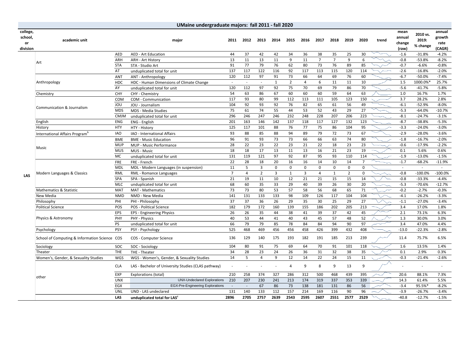|                                       | UMaine undergraduate majors: fall 2011 - fall 2020 |             |                                                     |                |                |                |              |                |                |                  |                |                |                |       |                                   |                               |                                    |
|---------------------------------------|----------------------------------------------------|-------------|-----------------------------------------------------|----------------|----------------|----------------|--------------|----------------|----------------|------------------|----------------|----------------|----------------|-------|-----------------------------------|-------------------------------|------------------------------------|
| college,<br>school,<br>or<br>division | academic unit                                      |             | major                                               | 2011           | 2012           | 2013           | 2014         | 2015           | 2016           | 2017             | 2018           | 2019           | 2020           | trend | mean<br>annual<br>change<br>(raw) | 2010 vs.<br>2019:<br>% change | annual<br>growth<br>rate<br>(CAGR) |
|                                       |                                                    | <b>AED</b>  | <b>AED - Art Education</b>                          | 44             | 37             | 42             | 42           | 34             | 36             | 38               | 35             | 25             | 30             |       | $-1.6$                            | $-31.8%$                      | $-4.2%$                            |
|                                       |                                                    | ARH         | <b>ARH - Art History</b>                            | 13             | 11             | 13             | 11           | 9              | 11             | $\overline{7}$   | $\overline{7}$ | 9              | 6              |       | $-0.8$                            | $-53.8%$                      | $-8.2%$                            |
|                                       | Art                                                | <b>STA</b>  | STA - Studio Art                                    | 91             | 77             | 79             | 76           | 62             | 80             | 73               | 76             | 89             | 85             |       | $-0.7$                            | $-6.6%$                       | $-0.8%$                            |
|                                       |                                                    | AT          | unduplicated total for unit                         | 137            | 117            | 122            | 116          | 92             | 117            | 113              | 115            | 120            | 114            |       | $-2.6$                            | $-16.8%$                      | $-2.0%$                            |
|                                       |                                                    | ANT         | ANT - Anthropology                                  | 120            | 112            | 97             | 91           | 73             | 66             | 64               | 69             | 76             | 60             |       | $-6.7$                            | $-50.0%$                      | $-7.4%$                            |
|                                       | Anthropology                                       | <b>HDC</b>  | HDC - Human Dimensions of Climate Change            | $\sim$         | $\sim$         | $\sim$         | $\mathbf{1}$ | $\overline{2}$ | $\overline{4}$ | $\boldsymbol{6}$ | 11             | 11             | 10             |       | 1.5                               | 1000.0%                       | 25.7%                              |
|                                       |                                                    | AY          | unduplicated total for unit                         | 120            | 112            | 97             | 92           | 75             | 70             | 69               | 79             | 86             | 70             |       | $-5.6$                            | $-41.7%$                      | $-5.8%$                            |
|                                       | Chemistry                                          | CHY         | CHY - Chemistry                                     | 54             | 63             | 86             | 67           | 60             | 60             | 60               | 59             | 64             | 63             |       | 1.0                               | 16.7%                         | 1.7%                               |
|                                       |                                                    | COM         | COM - Communication                                 | 117            | 93             | 80             | 99           | 112            | 113            | 111              | 105            | 123            | 150            |       | 3.7                               | 28.2%                         | 2.8%                               |
|                                       | Communication & Journalism                         | JOU         | JOU - Journalism                                    | 104            | 92             | 93             | 92           | 76             | 82             | 65               | 61             | 56             | 49             |       | $-6.1$                            | $-52.9%$                      | $-8.0%$                            |
|                                       |                                                    | <b>MDS</b>  | MDS - Media Studies                                 | 75             | 61             | 74             | 55           | 44             | 53             | 52               | 43             | 29             | 27             |       | $-5.3$                            | $-64.0%$                      | $-10.7%$                           |
|                                       |                                                    | <b>CMJM</b> | unduplicated total for unit                         | 296            | 246            | 247            | 246          | 232            | 248            | 228              | 207            | 206            | 223            |       | $-8.1$                            | $-24.7%$                      | $-3.1%$                            |
|                                       | English                                            | <b>ENG</b>  | ENG - English                                       | 201            | 163            | 146            | 142          | 137            | 118            | 117              | 127            | 132            | 123            |       | $-8.7$                            | $-38.8%$                      | $-5.3%$                            |
|                                       | History                                            | <b>HTY</b>  | HTY - History                                       | 125            | 117            | 101            | 88           | 76             | 77             | 75               | 86             | 104            | 95             |       | $-3.3$                            | $-24.0%$                      | $-3.0%$                            |
|                                       | International Affairs Program <sup>b</sup>         | <b>IAO</b>  | IAO - International Affairs                         | 93             | 88             | 85             | 88           | 94             | 89             | 79               | 72             | 73             | 67             |       | $-2.9$                            | $-28.0%$                      | $-3.6%$                            |
|                                       |                                                    | <b>BME</b>  | <b>BME - Music Education</b>                        | 96             | 91             | 93             | 73           | 73             | 66             | 66               | 63             | 74             | 80             |       | $-1.8$                            | $-16.7%$                      | $-2.0%$                            |
|                                       | Music                                              | <b>MUP</b>  | MUP - Music Performance                             | 28             | 22             | 23             | 22           | 23             | 21             | 22               | 18             | 23             | 23             |       | $-0.6$                            | $-17.9%$                      | $-2.2%$                            |
|                                       |                                                    | <b>MUS</b>  | MUS - Music                                         | 18             | 18             | 17             | 13           | 11             | 13             | 16               | 21             | 23             | 19             |       | 0.1                               | 5.6%                          | 0.6%                               |
|                                       |                                                    | MC          | unduplicated total for unit                         | 131            | 119            | 121            | 97           | 92             | 87             | 95               | 93             | 110            | 114            |       | $-1.9$                            | $-13.0%$                      | $-1.5%$                            |
|                                       | Modern Languages & Classics                        | <b>FRE</b>  | FRE - French                                        | 22             | 28             | 18             | 20           | 16             | 16             | 14               | 10             | 14             | $\overline{7}$ |       | $-1.7$                            | $-68.2%$                      | $-11.9%$                           |
|                                       |                                                    | MDL         | MDL - Modern Languages (in suspension)              | 11             | 5              | 3              | $\mathsf 0$  | $\mathbf 0$    | $\mathbf 0$    | $\mathsf 0$      | $\mathsf 0$    | $\mathsf 0$    | $\mathsf 0$    |       | $\overline{\phantom{a}}$          | $\overline{\phantom{a}}$      | $\overline{\phantom{a}}$           |
| LAS                                   |                                                    | <b>RML</b>  | RML - Romance Languages                             | $\overline{7}$ | $\overline{4}$ | $\overline{2}$ | 3            | $\mathbf{1}$   | 3              | $\overline{4}$   | $\mathbf{1}$   | $\overline{2}$ | $\mathsf 0$    |       | $-0.8$                            | $-100.0%$                     | $-100.0%$                          |
|                                       |                                                    | SPA         | SPA - Spanish                                       | 21             | 19             | 11             | 10           | 12             | 21             | 21               | 15             | 15             | 14             |       | $-0.8$                            | $-33.3%$                      | $-4.4%$                            |
|                                       |                                                    | <b>MLC</b>  | unduplicated total for unit                         | 68             | 60             | 35             | 33           | 29             | 40             | 39               | 26             | 30             | 20             |       | $-5.3$                            | $-70.6%$                      | $-12.7%$                           |
|                                       | Mathematics & Statistic                            | <b>MAT</b>  | MAT - Mathematics                                   | 73             | 73             | 80             | 53           | 57             | 58             | 56               | 68             | 65             | 71             |       | $-0.2$                            | $-2.7%$                       | $-0.3%$                            |
|                                       | New Media                                          | <b>NMD</b>  | NMD - New Media                                     | 141            | 131            | 133            | 133          | 98             | 109            | 126              | 117            | 104            | 104            |       | $-4.1$                            | $-26.2%$                      | $-3.3%$                            |
|                                       | Philosophy                                         | PHI         | PHI - Philosophy                                    | 37             | 37             | 36             | 26           | 29             | 35             | 30               | 25             | 29             | 27             |       | $-1.1$                            | $-27.0%$                      | $-3.4%$                            |
|                                       | <b>Political Science</b>                           | POS         | POS - Political Science                             | 182            | 179            | 172            | 160          | 139            | 155            | 186              | 202            | 205            | 213            |       | 3.4                               | 17.0%                         | 1.8%                               |
|                                       |                                                    | EPS         | EPS - Engineering Physics                           | 26             | 26             | 35             | 44           | 38             | 41             | 39               | 37             | 42             | 45             |       | 2.1                               | 73.1%                         | 6.3%                               |
|                                       | Physics & Astronomy                                | PHY         | PHY - Physics                                       | 40             | 53             | 44             | 41           | 40             | 43             | 45               | 57             | 48             | 52             |       | 1.3                               | 30.0%                         | 3.0%                               |
|                                       |                                                    | PS          | unduplicated total for unit                         | 66             | 79             | 79             | 85           | 78             | 84             | 84               | 94             | 90             | 97             |       | 3.4                               | 47.0%                         | 4.4%                               |
|                                       | Psychology                                         | PSY         | PSY - Psychology                                    | 525            | 468            | 469            | 456          | 456            | 458            | 426              | 399            | 432            | 408            |       | $-13.0$                           | $-22.3%$                      | $-2.8%$                            |
|                                       | School of Computing & Information Science COS      |             | COS - Computer Science                              | 136            | 129            | 140            | 175          | 193            | 182            | 191              | 185            | 213            | 239            |       | 11.4                              | 75.7%                         | 6.5%                               |
|                                       | Sociology                                          | SOC         | SOC - Sociology                                     | 104            | 80             | 91             | 75           | 69             | 64             | 70               | 91             | 101            | 118            |       | 1.6                               | 13.5%                         | 1.4%                               |
|                                       | Theater                                            | <b>THE</b>  | THE - Theater                                       | 34             | 28             | 23             | 24           | 26             | 36             | 31               | 32             | 38             | 35             |       | 0.1                               | 2.9%                          | 0.3%                               |
|                                       | Women's, Gender, & Sexuality Studies               | <b>WGS</b>  | WGS - Women's, Gender, & Sexuality Studies          | 14             | 5              | $\overline{4}$ | 9            | 12             | 14             | 22               | 24             | 15             | 11             |       | $-0.3$                            | $-21.4%$                      | $-2.6%$                            |
|                                       |                                                    | <b>CLA</b>  | LAS - Bachelor of University Studies (CLAS pathway) | $\sim$         |                |                |              | 4              | 9              | 8                | 9              | 13             | 9              |       |                                   | $\overline{\phantom{a}}$      |                                    |
|                                       | other                                              | EXP         | Explorations (total)                                | 210            | 258            | 374            | 327          | 286            | 312            | 500              | 468            | 439            | 395            |       | 20.6                              | 88.1%                         | 7.3%                               |
|                                       |                                                    | <b>UNX</b>  | <b>UNX-Undeclared Explorations</b>                  | 210            | 207            | 230            | 241          | 213            | 174            | 319              | 337            | 353            | 339            |       | 14.3                              | 61.4%                         | 5.5%                               |
|                                       |                                                    | EGX         | <b>EGX-Pre-Engineering Explorations</b>             |                | $\sim$         | 67             | 86           | 73             | 138            | 181              | 131            | 86             | 56             |       | $-3.4$                            | 95.5%*                        | $-8.2%$                            |
|                                       |                                                    | UNL         | UND - LAS undeclared                                | 131            | 140            | 133            | 112          | 157            | 214            | 169              | 116            | 90             | 96             |       | $-3.9$                            | $-26.7%$                      | $-3.4%$                            |
|                                       |                                                    | LAS         | unduplicated total for LAS <sup>c</sup>             | 2896           | 2705           | 2757           | 2639         | 2543           | 2595           | 2607             | 2551           | 2577           | 2529           |       | $-40.8$                           | $-12.7%$                      | $-1.5%$                            |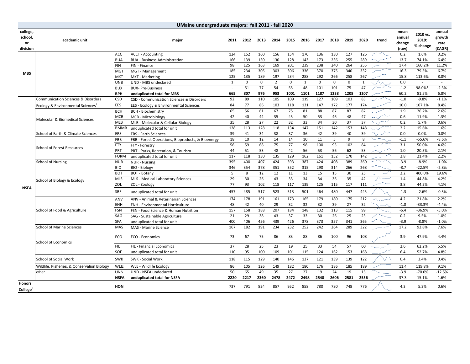|                                       | UMaine undergraduate majors: fall 2011 - fall 2020 |                   |                                                                   |          |             |             |                |             |              |             |             |             |         |       |                                   |                               |                                    |
|---------------------------------------|----------------------------------------------------|-------------------|-------------------------------------------------------------------|----------|-------------|-------------|----------------|-------------|--------------|-------------|-------------|-------------|---------|-------|-----------------------------------|-------------------------------|------------------------------------|
| college,<br>school,<br>or<br>division | academic unit                                      |                   | major                                                             | 2011     | 2012        | 2013        | 2014           | 2015        | 2016         | 2017        | 2018        | 2019        | 2020    | trend | mean<br>annual<br>change<br>(raw) | 2010 vs.<br>2019:<br>% change | annual<br>growth<br>rate<br>(CAGR) |
|                                       |                                                    | ACC               | <b>ACCT - Accounting</b>                                          | 124      | 152         | 160         | 156            | 154         | 170          | 136         | 130         | 127         | 126     |       | 0.2                               | 1.6%                          | 0.2%                               |
|                                       |                                                    | <b>BUA</b>        | <b>BUA - Business Administration</b>                              | 166      | 139         | 130         | 130            | 128         | 143          | 173         | 236         | 255         | 289     |       | 13.7                              | 74.1%                         | 6.4%                               |
|                                       |                                                    | <b>FIN</b>        | FIN - Finance                                                     | 98       | 125         | 163         | 169            | 201         | 239          | 238         | 240         | 264         | 255     |       | 17.4                              | 160.2%                        | 11.2%                              |
| <b>MBS</b>                            |                                                    | <b>MGT</b>        | MGT - Management                                                  | 185      | 234         | 305         | 303            | 306         | 336          | 370         | 375         | 340         | 332     |       | 16.3                              | 79.5%                         | 6.7%                               |
|                                       |                                                    | <b>MKT</b>        | MKT - Marketing                                                   | 125      | 135         | 189         | 197            | 234         | 288          | 292         | 266         | 258         | 267     |       | 15.8                              | 113.6%                        | 8.8%                               |
|                                       |                                                    | <b>UNB</b>        | UND - MBS undeclared                                              | 1        | $\mathbf 0$ | $\mathbf 0$ | $\overline{2}$ | $\mathbf 0$ | $\mathbf{1}$ | $\mathbf 0$ | $\mathbf 0$ | $\mathbf 0$ | 1       |       | 0.0                               | $\sim$                        | $\sim$                             |
|                                       |                                                    | <b>BUX</b>        | <b>BUX-Pre-Business</b>                                           | $\sim$   | 51          | 77          | 54             | 55          | 48           | 101         | 101         | 75          | 47      |       | $-1.2$                            | 98.0%*                        | $-2.3%$                            |
|                                       |                                                    | <b>BPH</b>        | unduplicated total for MBS                                        | 665      | 807         | 976         | 953            | 1001        | 1101         | 1187        | 1238        | 1208        | 1207    |       | 60.2                              | 81.5%                         | 6.8%                               |
|                                       | <b>Communication Sciences &amp; Disorders</b>      | CSD               | CSD - Communication Sciences & Disorders                          | 92       | 89          | 110         | 105            | 109         | 119          | 127         | 109         | 103         | 83      |       | $-1.0$                            | $-9.8%$                       | $-1.1%$                            |
|                                       | Ecology & Environmental Sciences                   | EES               | EES - Ecology & Environmental Sciences                            | 84       | 77          | 86          | 103            | 118         | 131          | 147         | 172         | 177         | 174     |       | 10.0                              | 107.1%                        | 8.4%                               |
|                                       |                                                    | <b>BCH</b>        | <b>BCH - Biochemistry</b>                                         | 65       | 56          | 61          | 67             | 75          | 81           | 88          | 87          | 87          | 82      |       | 1.9                               | 26.2%                         | 2.6%                               |
|                                       | Molecular & Biomedical Sciences                    | <b>MCB</b>        | MCB - Microbiology                                                | 42       | 40          | 44          | 35             | 45          | 50           | 53          | 46          | 48          | 47      |       | 0.6                               | 11.9%                         | 1.3%                               |
|                                       |                                                    | MLB               | MLB - Molecular & Cellular Biology                                | 35       | 28          | 27          | 22             | 32          | 33           | 34          | 30          | 37          | 37      |       | 0.2                               | 5.7%                          | 0.6%                               |
|                                       |                                                    | <b>BMMB</b>       | unduplicated total for unit                                       | 128      | 113         | 128         | 118            | 134         | 147          | 151         | 142         | 153         | 148     |       | 2.2                               | 15.6%                         | 1.6%                               |
|                                       | School of Earth & Climate Sciences                 | ERS               | <b>ERS - Earth Sciences</b>                                       | 39       | 41          | 34          | 38             | 37          | 36           | 42          | 39          | 40          | 39      |       | 0.0                               | 0.0%                          | 0.0%                               |
|                                       | <b>School of Forest Resources</b>                  | FBB<br><b>FTY</b> | FBB - Forest Operations, Bioproducts, & Bioenergy                 | 18<br>56 | 10<br>59    | 12<br>68    | 14<br>75       | 14<br>77    | 10<br>98     | 11<br>100   | 5<br>93     | 9<br>102    | 8<br>84 |       | $-1.1$<br>3.1                     | $-55.6%$<br>50.0%             | $-8.6%$<br>4.6%                    |
|                                       |                                                    | PRT               | FTY - Forestry                                                    | 44       | 51          | 53          | 48             | 42          | 56           | 53          | 56          | 62          | 53      |       | 1.0                               | 20.5%                         | 2.1%                               |
|                                       |                                                    | <b>FORM</b>       | PRT - Parks, Recreation, & Tourism<br>unduplicated total for unit | 117      | 118         | 130         | 135            | 129         | 162          | 161         | 152         | 170         | 142     |       | 2.8                               | 21.4%                         | 2.2%                               |
|                                       | <b>School of Nursing</b>                           | <b>NUR</b>        | <b>NUR - Nursing</b>                                              | 395      | 400         | 407         | 424            | 393         | 387          | 424         | 408         | 389         | 360     |       | $-3.9$                            | $-8.9%$                       | $-1.0%$                            |
|                                       |                                                    | <b>BIO</b>        | <b>BIO - Biology</b>                                              | 346      | 354         | 378         | 351            | 352         | 315          | 290         | 314         | 266         | 268     |       | $-8.7$                            | $-22.5%$                      | $-2.8%$                            |
|                                       | School of Biology & Ecology                        | <b>BOT</b>        | BOT - Botany                                                      | 5        | 8           | 12          | 12             | 11          | 13           | 15          | 15          | 30          | 25      |       | 2.2                               | 400.0%                        | 19.6%                              |
|                                       |                                                    | <b>MLS</b>        | MLS - Medical Laboratory Sciences                                 | 29       | 30          | 26          | 43             | 33          | 34           | 34          | 36          | 35          | 42      |       | 1.4                               | 44.8%                         | 4.2%                               |
|                                       |                                                    | ZOL               | ZOL - Zoology                                                     | 77       | 93          | 102         | 118            | 117         | 139          | 125         | 115         | 117         | 111     |       | 3.8                               | 44.2%                         | 4.1%                               |
| <b>NSFA</b>                           |                                                    | SBE               | unduplicated total for unit                                       | 457      | 485         | 517         | 523            | 513         | 501          | 464         | 480         | 447         | 445     |       | $-1.3$                            | $-2.6%$                       | $-0.3%$                            |
|                                       |                                                    | ANV               | ANV - Animal & Veterinarian Sciences                              | 174      | 178         | 191         | 161            | 173         | 165          | 179         | 180         | 175         | 212     |       | 4.2                               | 21.8%                         | 2.2%                               |
|                                       |                                                    | ENH               | <b>ENH - Environmental Horticulture</b>                           | 48       | 42          | 40          | 29             | 32          | 32           | 32          | 39          | 27          | 32      |       | $-1.8$                            | $-33.3%$                      | $-4.4%$                            |
|                                       | School of Food & Agriculture                       | FSN               | FSN - Food Science & Human Nutrition                              | 157      | 158         | 188         | 207            | 184         | 148          | 132         | 113         | 115         | 99      |       | $-6.4$                            | $-36.9%$                      | $-5.0%$                            |
|                                       |                                                    | SAG               | SAG - Sustainable Agriculture                                     | 21       | 29          | 38          | 43             | 37          | 33           | 30          | 26          | 25          | 23      |       | 0.2                               | 9.5%                          | 1.0%                               |
|                                       |                                                    | <b>SFA</b>        | unduplicated total for unit                                       | 400      | 406         | 456         | 439            | 426         | 378          | 373         | 357         | 341         | 365     |       | $-3.9$                            | $-8.8%$                       | $-1.0%$                            |
|                                       | <b>School of Marine Sciences</b>                   | MAS               | MAS - Marine Science                                              | 167      | 182         | 191         | 234            | 232         | 252          | 242         | 264         | 289         | 322     |       | 17.2                              | 92.8%                         | 7.6%                               |
|                                       | <b>School of Economics</b>                         | ECO               | ECO - Economics                                                   | 73       | 67          | 75          | 86             | 83          | 88           | 86          | 100         | 96          | 108     |       | 3.9                               | 47.9%                         | 4.4%                               |
|                                       |                                                    | <b>FIE</b>        | FIE - Financial Economics                                         | 37       | 28          | 25          | 23             | 19          | 25           | 33          | 54          | 57          | 60      |       | 2.6                               | 62.2%                         | 5.5%                               |
|                                       |                                                    | SOE               | unduplicated total for unit                                       | 110      | 95          | 100         | 109            | 101         | 115          | 124         | 162         | 153         | 168     |       | 6.4                               | 52.7%                         | 4.8%                               |
|                                       | <b>School of Social Work</b>                       | <b>SWK</b>        | SWK - Social Work                                                 | 118      | 115         | 129         | 140            | 146         | 137          | 121         | 139         | 139         | 122     |       | 0.4                               | 3.4%                          | 0.4%                               |
|                                       | Wildlife, Fisheries, & Conservation Biology        | <b>WLE</b>        | WLE - Wildlife Ecology                                            | 86       | 105         | 126         | 149            | 182         | 180          | 176         | 186         | 185         | 189     |       | 11.4                              | 119.8%                        | 9.1%                               |
|                                       | other                                              | <b>UNN</b>        | UND - NSFA undeclared                                             | 50       | 65          | 49          | 35             | 27          | 27           | 19          | 24          | 19          | 15      |       | $-3.9$                            | $-70.0%$                      | $-12.5%$                           |
|                                       |                                                    | <b>NSFA</b>       | unduplicated total for NSFA                                       | 2220     | 2217        | 2360        | 2478           | 2472        | 2498         | 2548        | 2606        | 2581        | 2556    |       | 37.3                              | 15.1%                         | 1.6%                               |
| <b>Honors</b><br>College <sup>e</sup> |                                                    | <b>HON</b>        |                                                                   | 737      | 791         | 824         | 857            | 952         | 858          | 780         | 780         | 748         | 776     |       | 4.3                               | 5.3%                          | 0.6%                               |